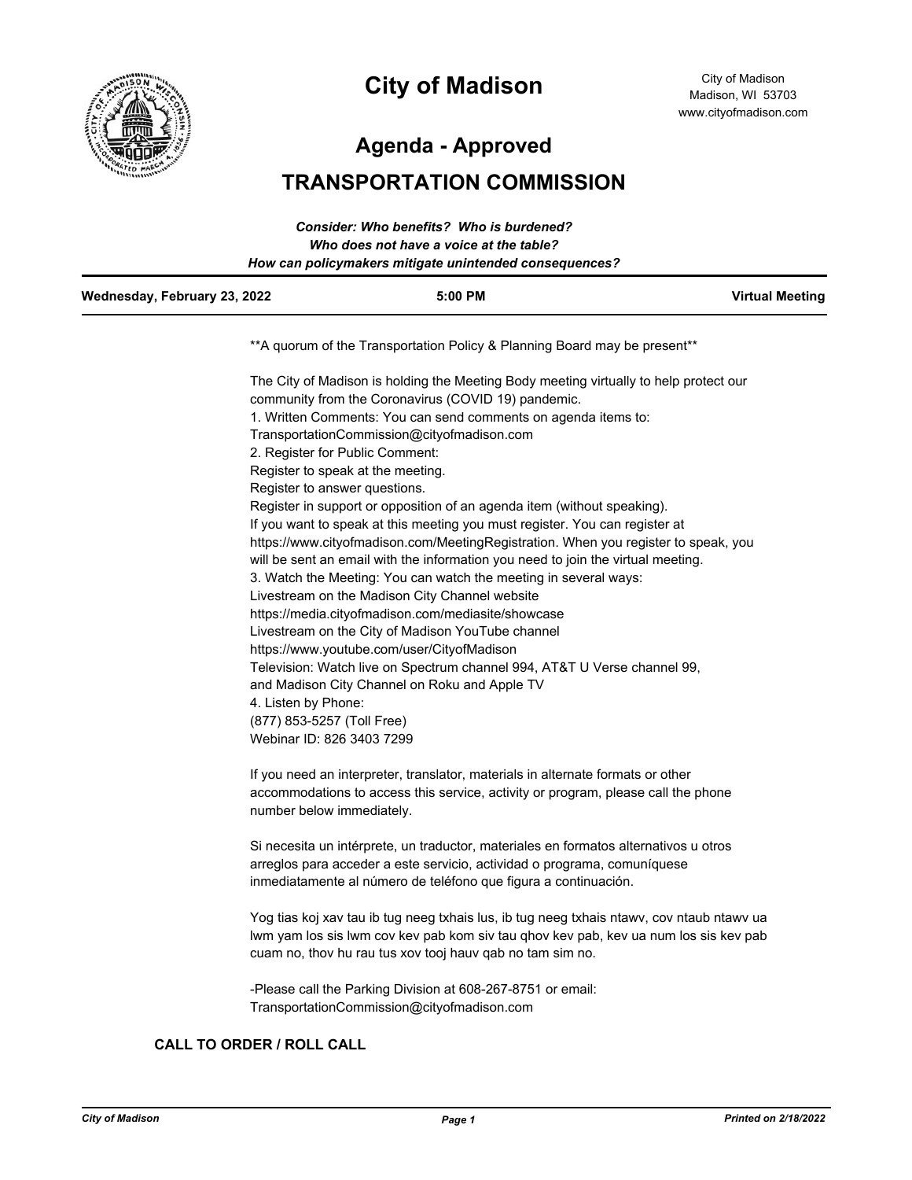

# **City of Madison**

City of Madison Madison, WI 53703 www.cityofmadison.com

**Agenda - Approved**

# **TRANSPORTATION COMMISSION**

| Wednesday, February 23, 2022 | $5:00$ PM                                              | <b>Virtual Meeting</b> |
|------------------------------|--------------------------------------------------------|------------------------|
|                              | How can policymakers mitigate unintended consequences? |                        |
|                              | Who does not have a voice at the table?                |                        |
|                              | Consider: Who benefits? Who is burdened?               |                        |

\*\*A quorum of the Transportation Policy & Planning Board may be present\*\*

The City of Madison is holding the Meeting Body meeting virtually to help protect our community from the Coronavirus (COVID 19) pandemic. 1. Written Comments: You can send comments on agenda items to: TransportationCommission@cityofmadison.com 2. Register for Public Comment: Register to speak at the meeting. Register to answer questions. Register in support or opposition of an agenda item (without speaking). If you want to speak at this meeting you must register. You can register at https://www.cityofmadison.com/MeetingRegistration. When you register to speak, you will be sent an email with the information you need to join the virtual meeting. 3. Watch the Meeting: You can watch the meeting in several ways: Livestream on the Madison City Channel website https://media.cityofmadison.com/mediasite/showcase Livestream on the City of Madison YouTube channel https://www.youtube.com/user/CityofMadison Television: Watch live on Spectrum channel 994, AT&T U Verse channel 99, and Madison City Channel on Roku and Apple TV 4. Listen by Phone: (877) 853-5257 (Toll Free) Webinar ID: 826 3403 7299

If you need an interpreter, translator, materials in alternate formats or other accommodations to access this service, activity or program, please call the phone number below immediately.

Si necesita un intérprete, un traductor, materiales en formatos alternativos u otros arreglos para acceder a este servicio, actividad o programa, comuníquese inmediatamente al número de teléfono que figura a continuación.

Yog tias koj xav tau ib tug neeg txhais lus, ib tug neeg txhais ntawv, cov ntaub ntawv ua lwm yam los sis lwm cov kev pab kom siv tau qhov kev pab, kev ua num los sis kev pab cuam no, thov hu rau tus xov tooj hauv qab no tam sim no.

-Please call the Parking Division at 608-267-8751 or email: TransportationCommission@cityofmadison.com

# **CALL TO ORDER / ROLL CALL**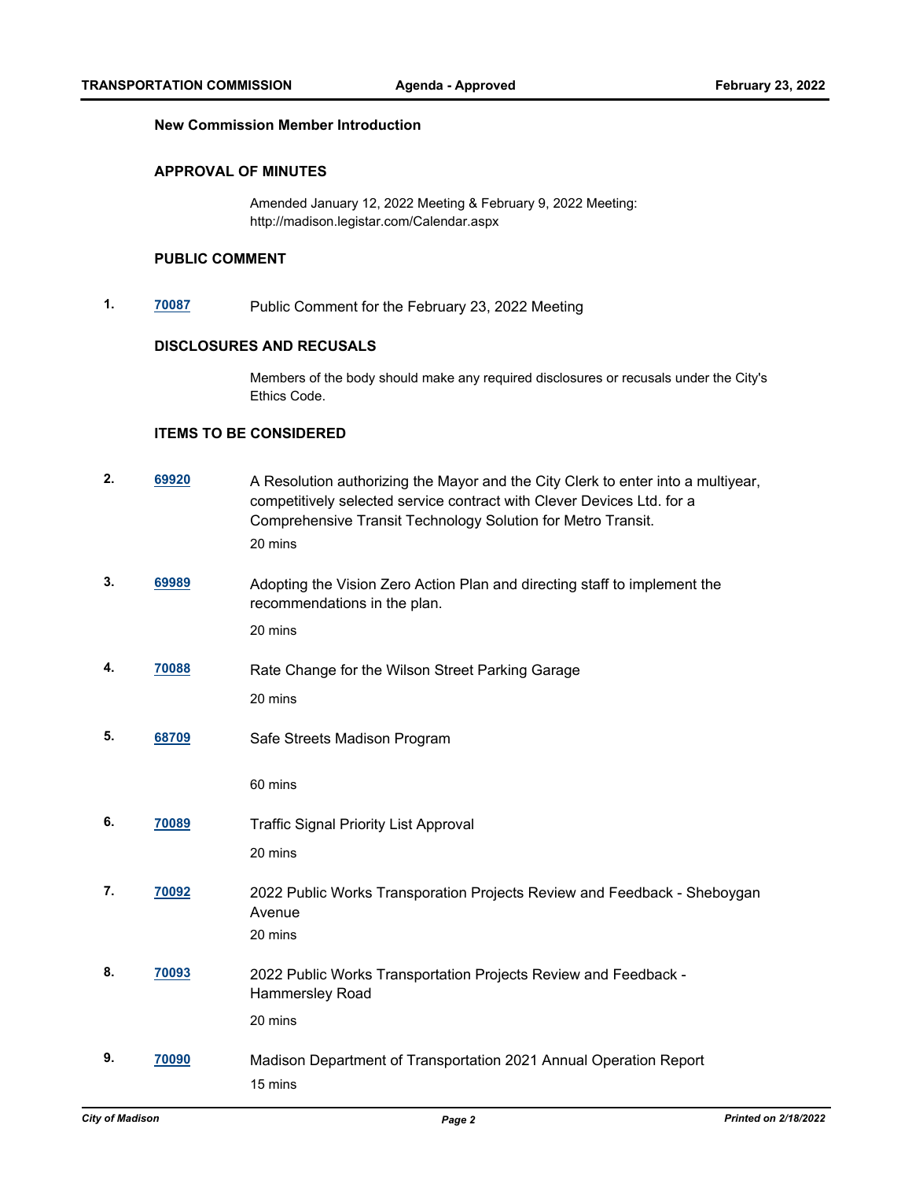#### **New Commission Member Introduction**

#### **APPROVAL OF MINUTES**

Amended January 12, 2022 Meeting & February 9, 2022 Meeting: http://madison.legistar.com/Calendar.aspx

# **PUBLIC COMMENT**

**1. [70087](http://madison.legistar.com/gateway.aspx?m=l&id=/matter.aspx?key=81272)** Public Comment for the February 23, 2022 Meeting

# **DISCLOSURES AND RECUSALS**

Members of the body should make any required disclosures or recusals under the City's Ethics Code.

#### **ITEMS TO BE CONSIDERED**

| 2. | 69920 | A Resolution authorizing the Mayor and the City Clerk to enter into a multiyear,<br>competitively selected service contract with Clever Devices Ltd. for a<br>Comprehensive Transit Technology Solution for Metro Transit.<br>20 mins |
|----|-------|---------------------------------------------------------------------------------------------------------------------------------------------------------------------------------------------------------------------------------------|
| 3. | 69989 | Adopting the Vision Zero Action Plan and directing staff to implement the<br>recommendations in the plan.                                                                                                                             |
|    |       | 20 mins                                                                                                                                                                                                                               |
| 4. | 70088 | Rate Change for the Wilson Street Parking Garage                                                                                                                                                                                      |
|    |       | 20 mins                                                                                                                                                                                                                               |
| 5. | 68709 | Safe Streets Madison Program                                                                                                                                                                                                          |
|    |       | 60 mins                                                                                                                                                                                                                               |
| 6. | 70089 | <b>Traffic Signal Priority List Approval</b>                                                                                                                                                                                          |
|    |       | 20 mins                                                                                                                                                                                                                               |
| 7. | 70092 | 2022 Public Works Transporation Projects Review and Feedback - Sheboygan                                                                                                                                                              |
|    |       | Avenue<br>20 mins                                                                                                                                                                                                                     |
|    |       |                                                                                                                                                                                                                                       |
| 8. | 70093 | 2022 Public Works Transportation Projects Review and Feedback -<br>Hammersley Road                                                                                                                                                    |
|    |       | 20 mins                                                                                                                                                                                                                               |
| 9. | 70090 | Madison Department of Transportation 2021 Annual Operation Report                                                                                                                                                                     |
|    |       | 15 mins                                                                                                                                                                                                                               |